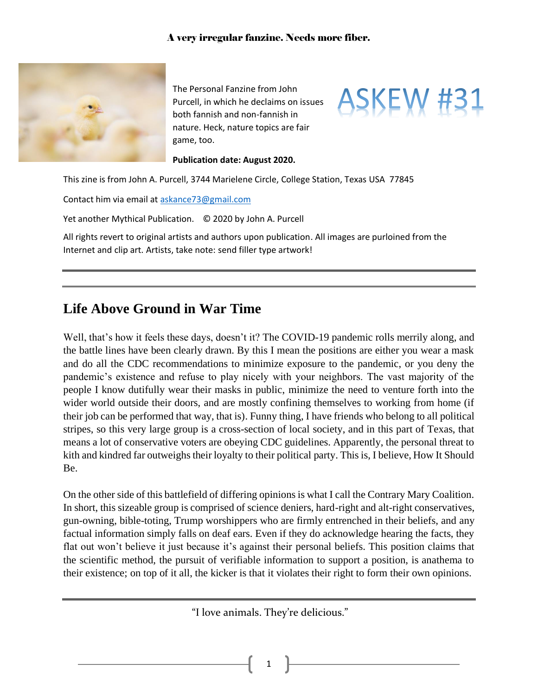

The Personal Fanzine from John Purcell, in which he declaims on issues both fannish and non-fannish in nature. Heck, nature topics are fair game, too.



**Publication date: August 2020.**

This zine is from John A. Purcell, 3744 Marielene Circle, College Station, Texas USA 77845

Contact him via email at [askance73@gmail.com](mailto:askance73@gmail.com) 

Yet another Mythical Publication. © 2020 by John A. Purcell

All rights revert to original artists and authors upon publication. All images are purloined from the Internet and clip art. Artists, take note: send filler type artwork!

## **Life Above Ground in War Time**

Well, that's how it feels these days, doesn't it? The COVID-19 pandemic rolls merrily along, and the battle lines have been clearly drawn. By this I mean the positions are either you wear a mask and do all the CDC recommendations to minimize exposure to the pandemic, or you deny the pandemic's existence and refuse to play nicely with your neighbors. The vast majority of the people I know dutifully wear their masks in public, minimize the need to venture forth into the wider world outside their doors, and are mostly confining themselves to working from home (if their job can be performed that way, that is). Funny thing, I have friends who belong to all political stripes, so this very large group is a cross-section of local society, and in this part of Texas, that means a lot of conservative voters are obeying CDC guidelines. Apparently, the personal threat to kith and kindred far outweighs their loyalty to their political party. This is, I believe, How It Should Be.

On the other side of this battlefield of differing opinions is what I call the Contrary Mary Coalition. In short, this sizeable group is comprised of science deniers, hard-right and alt-right conservatives, gun-owning, bible-toting, Trump worshippers who are firmly entrenched in their beliefs, and any factual information simply falls on deaf ears. Even if they do acknowledge hearing the facts, they flat out won't believe it just because it's against their personal beliefs. This position claims that the scientific method, the pursuit of verifiable information to support a position, is anathema to their existence; on top of it all, the kicker is that it violates their right to form their own opinions.

"I love animals. They're delicious."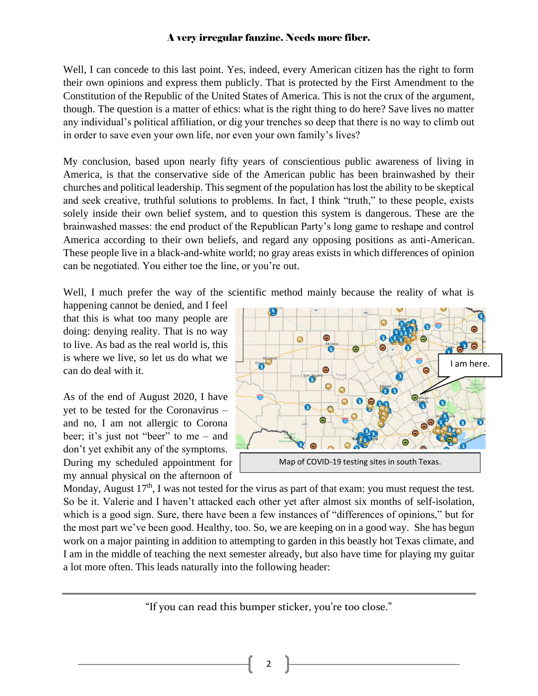Well, I can concede to this last point. Yes, indeed, every American citizen has the right to form their own opinions and express them publicly. That is protected by the First Amendment to the Constitution of the Republic of the United States of America. This is not the crux of the argument, though. The question is a matter of ethics: what is the right thing to do here? Save lives no matter any individual's political affiliation, or dig your trenches so deep that there is no way to climb out in order to save even your own life, nor even your own family's lives?

My conclusion, based upon nearly fifty years of conscientious public awareness of living in America, is that the conservative side of the American public has been brainwashed by their churches and political leadership. This segment of the population has lost the ability to be skeptical and seek creative, truthful solutions to problems. In fact, I think "truth," to these people, exists solely inside their own belief system, and to question this system is dangerous. These are the brainwashed masses: the end product of the Republican Party's long game to reshape and control America according to their own beliefs, and regard any opposing positions as anti-American. These people live in a black-and-white world; no gray areas exists in which differences of opinion can be negotiated. You either toe the line, or you're out.

Well, I much prefer the way of the scientific method mainly because the reality of what is

happening cannot be denied, and I feel that this is what too many people are doing: denying reality. That is no way to live. As bad as the real world is, this is where we live, so let us do what we can do deal with it.

As of the end of August 2020, I have yet to be tested for the Coronavirus – and no, I am not allergic to Corona beer; it's just not "beer" to me – and don't yet exhibit any of the symptoms. During my scheduled appointment for my annual physical on the afternoon of



Monday, August 17<sup>th</sup>, I was not tested for the virus as part of that exam: you must request the test. So be it. Valerie and I haven't attacked each other yet after almost six months of self-isolation, which is a good sign. Sure, there have been a few instances of "differences of opinions," but for the most part we've been good. Healthy, too. So, we are keeping on in a good way. She has begun work on a major painting in addition to attempting to garden in this beastly hot Texas climate, and I am in the middle of teaching the next semester already, but also have time for playing my guitar a lot more often. This leads naturally into the following header:

"If you can read this bumper sticker, you're too close."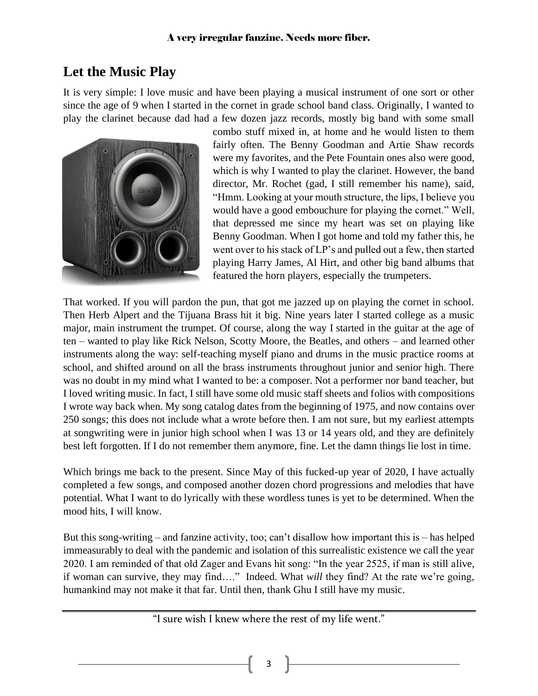## **Let the Music Play**

It is very simple: I love music and have been playing a musical instrument of one sort or other since the age of 9 when I started in the cornet in grade school band class. Originally, I wanted to play the clarinet because dad had a few dozen jazz records, mostly big band with some small



combo stuff mixed in, at home and he would listen to them fairly often. The Benny Goodman and Artie Shaw records were my favorites, and the Pete Fountain ones also were good, which is why I wanted to play the clarinet. However, the band director, Mr. Rochet (gad, I still remember his name), said, "Hmm. Looking at your mouth structure, the lips, I believe you would have a good embouchure for playing the cornet." Well, that depressed me since my heart was set on playing like Benny Goodman. When I got home and told my father this, he went over to his stack of LP's and pulled out a few, then started playing Harry James, Al Hirt, and other big band albums that featured the horn players, especially the trumpeters.

That worked. If you will pardon the pun, that got me jazzed up on playing the cornet in school. Then Herb Alpert and the Tijuana Brass hit it big. Nine years later I started college as a music major, main instrument the trumpet. Of course, along the way I started in the guitar at the age of ten – wanted to play like Rick Nelson, Scotty Moore, the Beatles, and others – and learned other instruments along the way: self-teaching myself piano and drums in the music practice rooms at school, and shifted around on all the brass instruments throughout junior and senior high. There was no doubt in my mind what I wanted to be: a composer. Not a performer nor band teacher, but I loved writing music. In fact, I still have some old music staff sheets and folios with compositions I wrote way back when. My song catalog dates from the beginning of 1975, and now contains over 250 songs; this does not include what a wrote before then. I am not sure, but my earliest attempts at songwriting were in junior high school when I was 13 or 14 years old, and they are definitely best left forgotten. If I do not remember them anymore, fine. Let the damn things lie lost in time.

Which brings me back to the present. Since May of this fucked-up year of 2020, I have actually completed a few songs, and composed another dozen chord progressions and melodies that have potential. What I want to do lyrically with these wordless tunes is yet to be determined. When the mood hits, I will know.

But this song-writing – and fanzine activity, too; can't disallow how important this is – has helped immeasurably to deal with the pandemic and isolation of this surrealistic existence we call the year 2020. I am reminded of that old Zager and Evans hit song: "In the year 2525, if man is still alive, if woman can survive, they may find…." Indeed. What *will* they find? At the rate we're going, humankind may not make it that far. Until then, thank Ghu I still have my music.

"I sure wish I knew where the rest of my life went."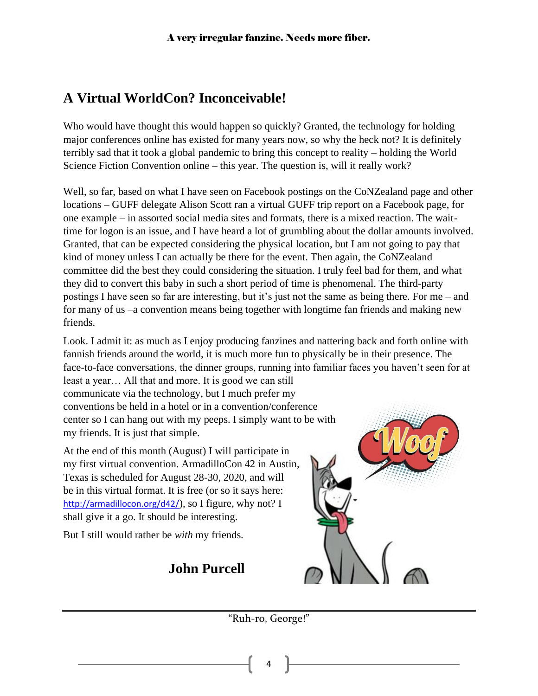# **A Virtual WorldCon? Inconceivable!**

Who would have thought this would happen so quickly? Granted, the technology for holding major conferences online has existed for many years now, so why the heck not? It is definitely terribly sad that it took a global pandemic to bring this concept to reality – holding the World Science Fiction Convention online – this year. The question is, will it really work?

Well, so far, based on what I have seen on Facebook postings on the CoNZealand page and other locations – GUFF delegate Alison Scott ran a virtual GUFF trip report on a Facebook page, for one example – in assorted social media sites and formats, there is a mixed reaction. The waittime for logon is an issue, and I have heard a lot of grumbling about the dollar amounts involved. Granted, that can be expected considering the physical location, but I am not going to pay that kind of money unless I can actually be there for the event. Then again, the CoNZealand committee did the best they could considering the situation. I truly feel bad for them, and what they did to convert this baby in such a short period of time is phenomenal. The third-party postings I have seen so far are interesting, but it's just not the same as being there. For me – and for many of us –a convention means being together with longtime fan friends and making new friends.

Look. I admit it: as much as I enjoy producing fanzines and nattering back and forth online with fannish friends around the world, it is much more fun to physically be in their presence. The face-to-face conversations, the dinner groups, running into familiar faces you haven't seen for at

least a year… All that and more. It is good we can still communicate via the technology, but I much prefer my conventions be held in a hotel or in a convention/conference center so I can hang out with my peeps. I simply want to be with my friends. It is just that simple.

At the end of this month (August) I will participate in my first virtual convention. ArmadilloCon 42 in Austin, Texas is scheduled for August 28-30, 2020, and will be in this virtual format. It is free (or so it says here: <http://armadillocon.org/d42/>), so I figure, why not? I shall give it a go. It should be interesting.

But I still would rather be *with* my friends.

# **John Purcell**



"Ruh-ro, George!"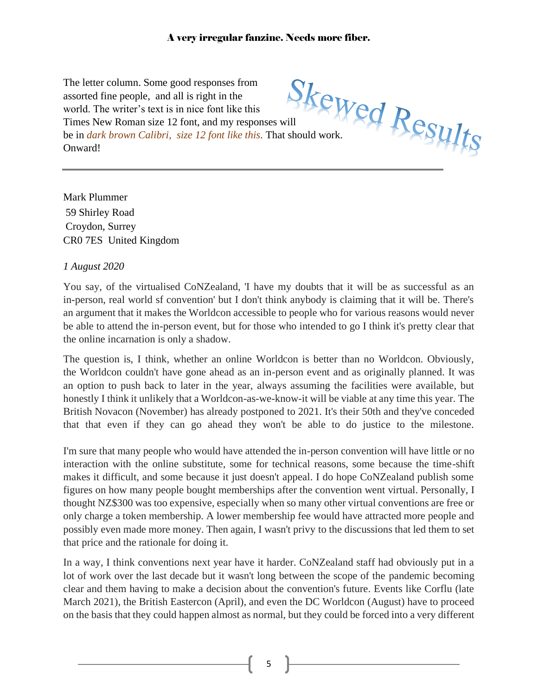The letter column. Some good responses from assorted fine people, and all is right in the world. The writer's text is in nice font like this The letter column. Some governotion and all is right in the world. The writer's text is in nice font like this Times New Roman size 12 font, and my responses will all the this. That should work. be in *dark brown Calibri, size 12 font like this.* That should work. Onward!

Mark Plummer 59 Shirley Road Croydon, Surrey CR0 7ES United Kingdom

#### *1 August 2020*

You say, of the virtualised CoNZealand, 'I have my doubts that it will be as successful as an in-person, real world sf convention' but I don't think anybody is claiming that it will be. There's an argument that it makes the Worldcon accessible to people who for various reasons would never be able to attend the in-person event, but for those who intended to go I think it's pretty clear that the online incarnation is only a shadow.

The question is, I think, whether an online Worldcon is better than no Worldcon. Obviously, the Worldcon couldn't have gone ahead as an in-person event and as originally planned. It was an option to push back to later in the year, always assuming the facilities were available, but honestly I think it unlikely that a Worldcon-as-we-know-it will be viable at any time this year. The British Novacon (November) has already postponed to 2021. It's their 50th and they've conceded that that even if they can go ahead they won't be able to do justice to the milestone.

I'm sure that many people who would have attended the in-person convention will have little or no interaction with the online substitute, some for technical reasons, some because the time-shift makes it difficult, and some because it just doesn't appeal. I do hope CoNZealand publish some figures on how many people bought memberships after the convention went virtual. Personally, I thought NZ\$300 was too expensive, especially when so many other virtual conventions are free or only charge a token membership. A lower membership fee would have attracted more people and possibly even made more money. Then again, I wasn't privy to the discussions that led them to set that price and the rationale for doing it.

In a way, I think conventions next year have it harder. CoNZealand staff had obviously put in a lot of work over the last decade but it wasn't long between the scope of the pandemic becoming clear and them having to make a decision about the convention's future. Events like Corflu (late March 2021), the British Eastercon (April), and even the DC Worldcon (August) have to proceed on the basis that they could happen almost as normal, but they could be forced into a very different

<sup>5</sup>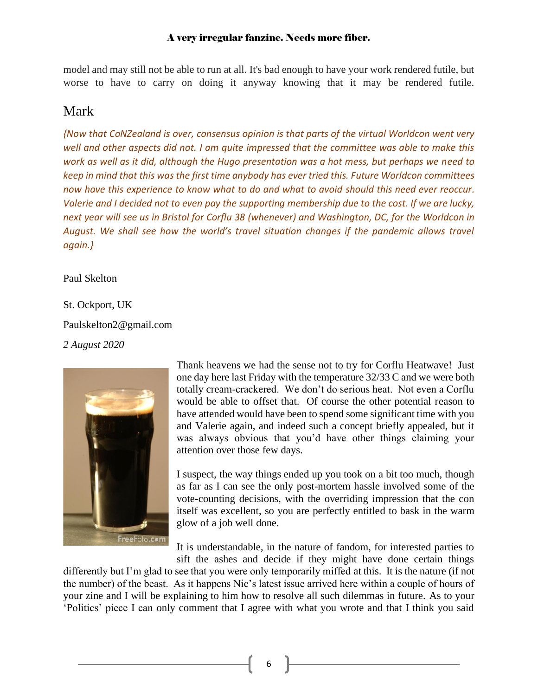model and may still not be able to run at all. It's bad enough to have your work rendered futile, but worse to have to carry on doing it anyway knowing that it may be rendered futile.

### Mark

*{Now that CoNZealand is over, consensus opinion is that parts of the virtual Worldcon went very well and other aspects did not. I am quite impressed that the committee was able to make this work as well as it did, although the Hugo presentation was a hot mess, but perhaps we need to keep in mind that this was the first time anybody has ever tried this. Future Worldcon committees now have this experience to know what to do and what to avoid should this need ever reoccur. Valerie and I decided not to even pay the supporting membership due to the cost. If we are lucky, next year will see us in Bristol for Corflu 38 (whenever) and Washington, DC, for the Worldcon in August. We shall see how the world's travel situation changes if the pandemic allows travel again.}*

Paul Skelton

St. Ockport, UK Paulskelton2@gmail.com *2 August 2020*



Thank heavens we had the sense not to try for Corflu Heatwave! Just one day here last Friday with the temperature 32/33 C and we were both totally cream-crackered. We don't do serious heat. Not even a Corflu would be able to offset that. Of course the other potential reason to have attended would have been to spend some significant time with you and Valerie again, and indeed such a concept briefly appealed, but it was always obvious that you'd have other things claiming your attention over those few days.

I suspect, the way things ended up you took on a bit too much, though as far as I can see the only post-mortem hassle involved some of the vote-counting decisions, with the overriding impression that the con itself was excellent, so you are perfectly entitled to bask in the warm glow of a job well done.

It is understandable, in the nature of fandom, for interested parties to sift the ashes and decide if they might have done certain things

differently but I'm [glad](https://creativecommons.org/licenses/by-nc-nd/3.0/) to see that you were only temporarily miffed at this. It is the nature (if not t[he numbe](https://creativecommons.org/licenses/by-nc-nd/3.0/)r) of the beast. As it happens Nic's latest issue arrived here within a couple of hours of your zine and I will be explaining to him how to resolve all such dilemmas in future. As to your 'Politics' piece I can only comment that I agree with what you wrote and that I think you said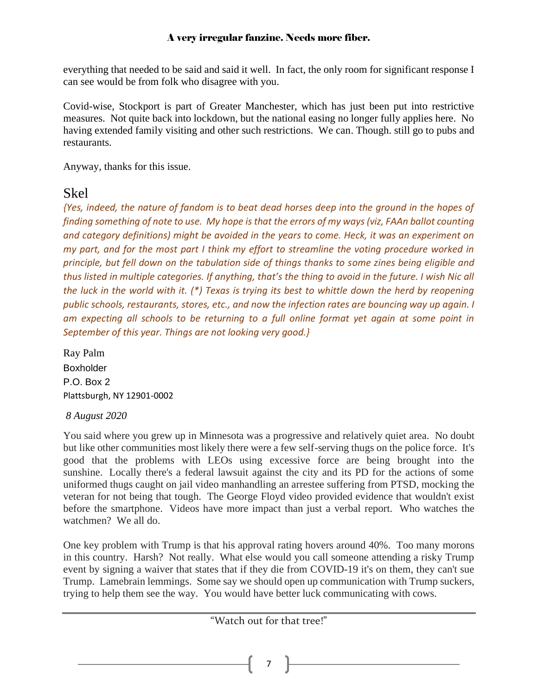everything that needed to be said and said it well. In fact, the only room for significant response I can see would be from folk who disagree with you.

Covid-wise, Stockport is part of Greater Manchester, which has just been put into restrictive measures. Not quite back into lockdown, but the national easing no longer fully applies here. No having extended family visiting and other such restrictions. We can. Though. still go to pubs and restaurants.

Anyway, thanks for this issue.

### Skel

*{Yes, indeed, the nature of fandom is to beat dead horses deep into the ground in the hopes of finding something of note to use. My hope is that the errors of my ways (viz, FAAn ballot counting and category definitions) might be avoided in the years to come. Heck, it was an experiment on my part, and for the most part I think my effort to streamline the voting procedure worked in principle, but fell down on the tabulation side of things thanks to some zines being eligible and thus listed in multiple categories. If anything, that's the thing to avoid in the future. I wish Nic all the luck in the world with it. (\*) Texas is trying its best to whittle down the herd by reopening public schools, restaurants, stores, etc., and now the infection rates are bouncing way up again. I am expecting all schools to be returning to a full online format yet again at some point in September of this year. Things are not looking very good.}* 

Ray Palm Boxholder P.O. Box 2 Plattsburgh, NY 12901-0002

#### *8 August 2020*

You said where you grew up in Minnesota was a progressive and relatively quiet area. No doubt but like other communities most likely there were a few self-serving thugs on the police force. It's good that the problems with LEOs using excessive force are being brought into the sunshine. Locally there's a federal lawsuit against the city and its PD for the actions of some uniformed thugs caught on jail video manhandling an arrestee suffering from PTSD, mocking the veteran for not being that tough. The George Floyd video provided evidence that wouldn't exist before the smartphone. Videos have more impact than just a verbal report. Who watches the watchmen? We all do.

One key problem with Trump is that his approval rating hovers around 40%. Too many morons in this country. Harsh? Not really. What else would you call someone attending a risky Trump event by signing a waiver that states that if they die from COVID-19 it's on them, they can't sue Trump. Lamebrain lemmings. Some say we should open up communication with Trump suckers, trying to help them see the way. You would have better luck communicating with cows.